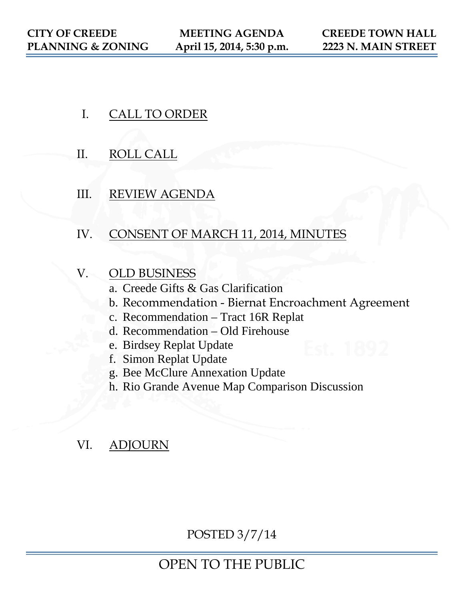- I. CALL TO ORDER
- II. ROLL CALL
- III. REVIEW AGENDA
- IV. CONSENT OF MARCH 11, 2014, MINUTES
- V. OLD BUSINESS
	- a. Creede Gifts & Gas Clarification
	- b. Recommendation Biernat Encroachment Agreement
	- c. Recommendation Tract 16R Replat
	- d. Recommendation Old Firehouse
	- e. Birdsey Replat Update
	- f. Simon Replat Update
	- g. Bee McClure Annexation Update
	- h. Rio Grande Avenue Map Comparison Discussion

# VI. ADJOURN

POSTED 3/7/14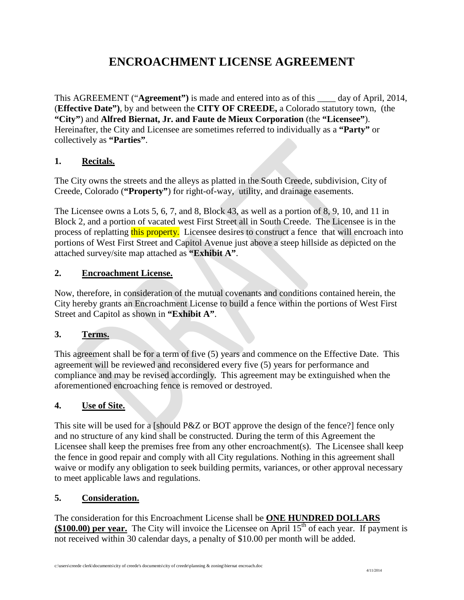# **ENCROACHMENT LICENSE AGREEMENT**

This AGREEMENT ("**Agreement")** is made and entered into as of this \_\_\_\_ day of April, 2014, (**Effective Date")**, by and between the **CITY OF CREEDE,** a Colorado statutory town, (the **"City"**) and **Alfred Biernat, Jr. and Faute de Mieux Corporation** (the **"Licensee"**). Hereinafter, the City and Licensee are sometimes referred to individually as a **"Party"** or collectively as **"Parties"**.

## **1. Recitals.**

The City owns the streets and the alleys as platted in the South Creede, subdivision, City of Creede, Colorado (**"Property"**) for right-of-way, utility, and drainage easements.

The Licensee owns a Lots 5, 6, 7, and 8, Block 43, as well as a portion of 8, 9, 10, and 11 in Block 2, and a portion of vacated west First Street all in South Creede. The Licensee is in the process of replatting this property. Licensee desires to construct a fence that will encroach into portions of West First Street and Capitol Avenue just above a steep hillside as depicted on the attached survey/site map attached as **"Exhibit A"**.

### **2. Encroachment License.**

Now, therefore, in consideration of the mutual covenants and conditions contained herein, the City hereby grants an Encroachment License to build a fence within the portions of West First Street and Capitol as shown in **"Exhibit A"**.

### **3. Terms.**

This agreement shall be for a term of five (5) years and commence on the Effective Date. This agreement will be reviewed and reconsidered every five (5) years for performance and compliance and may be revised accordingly. This agreement may be extinguished when the aforementioned encroaching fence is removed or destroyed.

### **4. Use of Site.**

This site will be used for a [should P&Z or BOT approve the design of the fence?] fence only and no structure of any kind shall be constructed. During the term of this Agreement the Licensee shall keep the premises free from any other encroachment(s). The Licensee shall keep the fence in good repair and comply with all City regulations. Nothing in this agreement shall waive or modify any obligation to seek building permits, variances, or other approval necessary to meet applicable laws and regulations.

### **5. Consideration.**

The consideration for this Encroachment License shall be **ONE HUNDRED DOLLARS (\$100.00) per year.** The City will invoice the Licensee on April  $15<sup>th</sup>$  of each year. If payment is not received within 30 calendar days, a penalty of \$10.00 per month will be added.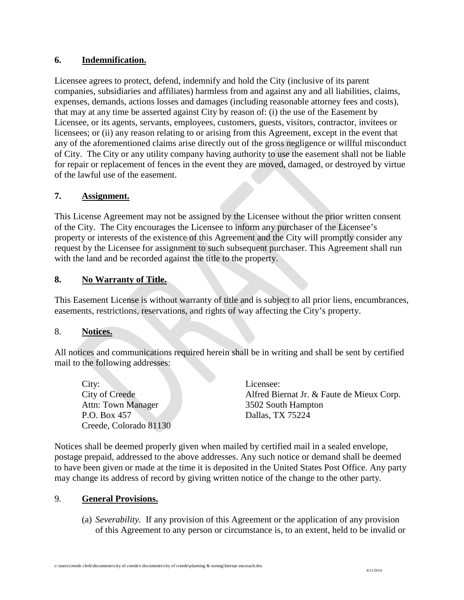#### **6. Indemnification.**

Licensee agrees to protect, defend, indemnify and hold the City (inclusive of its parent companies, subsidiaries and affiliates) harmless from and against any and all liabilities, claims, expenses, demands, actions losses and damages (including reasonable attorney fees and costs), that may at any time be asserted against City by reason of: (i) the use of the Easement by Licensee, or its agents, servants, employees, customers, guests, visitors, contractor, invitees or licensees; or (ii) any reason relating to or arising from this Agreement, except in the event that any of the aforementioned claims arise directly out of the gross negligence or willful misconduct of City. The City or any utility company having authority to use the easement shall not be liable for repair or replacement of fences in the event they are moved, damaged, or destroyed by virtue of the lawful use of the easement.

#### **7. Assignment.**

This License Agreement may not be assigned by the Licensee without the prior written consent of the City. The City encourages the Licensee to inform any purchaser of the Licensee's property or interests of the existence of this Agreement and the City will promptly consider any request by the Licensee for assignment to such subsequent purchaser. This Agreement shall run with the land and be recorded against the title to the property.

#### **8. No Warranty of Title.**

This Easement License is without warranty of title and is subject to all prior liens, encumbrances, easements, restrictions, reservations, and rights of way affecting the City's property.

#### 8. **Notices.**

All notices and communications required herein shall be in writing and shall be sent by certified mail to the following addresses:

City: Licensee: Attn: Town Manager 3502 South Hampton P.O. Box 457 Dallas, TX 75224 Creede, Colorado 81130

City of Creede Alfred Biernat Jr. & Faute de Mieux Corp.

Notices shall be deemed properly given when mailed by certified mail in a sealed envelope, postage prepaid, addressed to the above addresses. Any such notice or demand shall be deemed to have been given or made at the time it is deposited in the United States Post Office. Any party may change its address of record by giving written notice of the change to the other party.

#### 9. **General Provisions.**

(a) *Severability.* If any provision of this Agreement or the application of any provision of this Agreement to any person or circumstance is, to an extent, held to be invalid or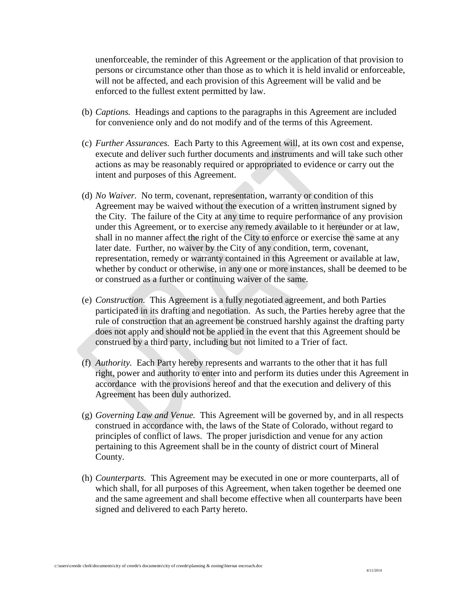unenforceable, the reminder of this Agreement or the application of that provision to persons or circumstance other than those as to which it is held invalid or enforceable, will not be affected, and each provision of this Agreement will be valid and be enforced to the fullest extent permitted by law.

- (b) *Captions.* Headings and captions to the paragraphs in this Agreement are included for convenience only and do not modify and of the terms of this Agreement.
- (c) *Further Assurances.* Each Party to this Agreement will, at its own cost and expense, execute and deliver such further documents and instruments and will take such other actions as may be reasonably required or appropriated to evidence or carry out the intent and purposes of this Agreement.
- (d) *No Waiver.* No term, covenant, representation, warranty or condition of this Agreement may be waived without the execution of a written instrument signed by the City. The failure of the City at any time to require performance of any provision under this Agreement, or to exercise any remedy available to it hereunder or at law, shall in no manner affect the right of the City to enforce or exercise the same at any later date. Further, no waiver by the City of any condition, term, covenant, representation, remedy or warranty contained in this Agreement or available at law, whether by conduct or otherwise, in any one or more instances, shall be deemed to be or construed as a further or continuing waiver of the same.
- (e) *Construction.* This Agreement is a fully negotiated agreement, and both Parties participated in its drafting and negotiation. As such, the Parties hereby agree that the rule of construction that an agreement be construed harshly against the drafting party does not apply and should not be applied in the event that this Agreement should be construed by a third party, including but not limited to a Trier of fact.
- (f) *Authority.* Each Party hereby represents and warrants to the other that it has full right, power and authority to enter into and perform its duties under this Agreement in accordance with the provisions hereof and that the execution and delivery of this Agreement has been duly authorized.
- (g) *Governing Law and Venue.* This Agreement will be governed by, and in all respects construed in accordance with, the laws of the State of Colorado, without regard to principles of conflict of laws. The proper jurisdiction and venue for any action pertaining to this Agreement shall be in the county of district court of Mineral County.
- (h) *Counterparts.* This Agreement may be executed in one or more counterparts, all of which shall, for all purposes of this Agreement, when taken together be deemed one and the same agreement and shall become effective when all counterparts have been signed and delivered to each Party hereto.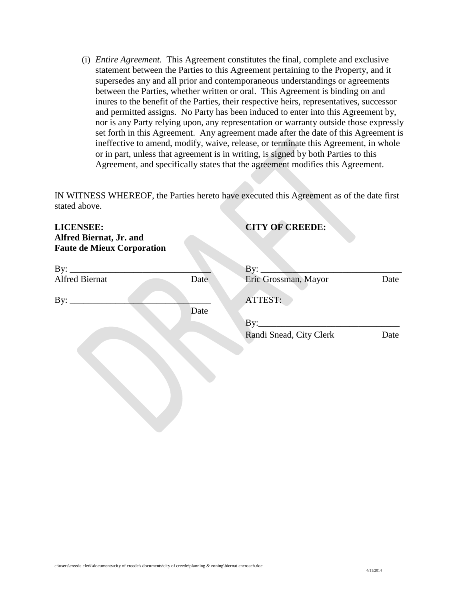(i) *Entire Agreement.* This Agreement constitutes the final, complete and exclusive statement between the Parties to this Agreement pertaining to the Property, and it supersedes any and all prior and contemporaneous understandings or agreements between the Parties, whether written or oral. This Agreement is binding on and inures to the benefit of the Parties, their respective heirs, representatives, successor and permitted assigns. No Party has been induced to enter into this Agreement by, nor is any Party relying upon, any representation or warranty outside those expressly set forth in this Agreement. Any agreement made after the date of this Agreement is ineffective to amend, modify, waive, release, or terminate this Agreement, in whole or in part, unless that agreement is in writing, is signed by both Parties to this Agreement, and specifically states that the agreement modifies this Agreement.

IN WITNESS WHEREOF, the Parties hereto have executed this Agreement as of the date first stated above.

| <b>LICENSEE:</b><br><b>Alfred Biernat, Jr. and</b><br><b>Faute de Mieux Corporation</b> |      | <b>CITY OF CREEDE:</b>                                          |      |
|-----------------------------------------------------------------------------------------|------|-----------------------------------------------------------------|------|
|                                                                                         |      | the contract of the contract of the contract of the contract of |      |
| <b>Alfred Biernat</b>                                                                   | Date | Eric Grossman, Mayor                                            | Date |
| By: $\overline{\phantom{a}}$                                                            | Date | ATTEST:                                                         |      |
|                                                                                         |      |                                                                 |      |
|                                                                                         |      | Randi Snead, City Clerk                                         | Date |
|                                                                                         |      |                                                                 |      |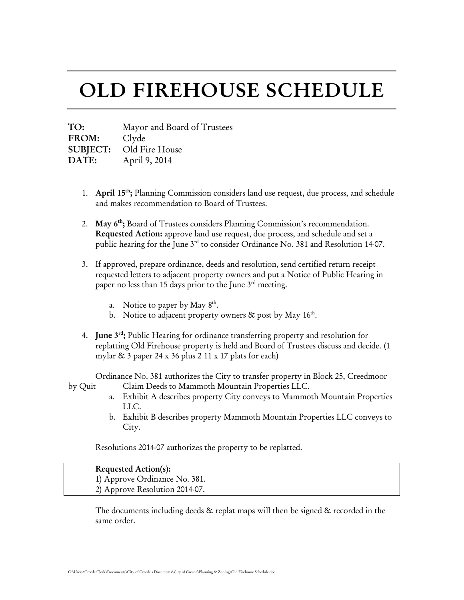# OLD FIREHOUSE SCHEDULE

TO: Mayor and Board of Trustees FROM: Clyde SUBJECT: Old Fire House DATE: April 9, 2014

- 1. April 15th; Planning Commission considers land use request, due process, and schedule and makes recommendation to Board of Trustees.
- 2. May  $6<sup>th</sup>$ ; Board of Trustees considers Planning Commission's recommendation. Requested Action: approve land use request, due process, and schedule and set a public hearing for the June 3<sup>rd</sup> to consider Ordinance No. 381 and Resolution 14-07.
- 3. If approved, prepare ordinance, deeds and resolution, send certified return receipt requested letters to adjacent property owners and put a Notice of Public Hearing in paper no less than 15 days prior to the June  $3<sup>rd</sup>$  meeting.
	- a. Notice to paper by May  $8<sup>th</sup>$ .
	- b. Notice to adjacent property owners  $\&$  post by May 16<sup>th</sup>.
- 4. June 3<sup>rd</sup>; Public Hearing for ordinance transferring property and resolution for replatting Old Firehouse property is held and Board of Trustees discuss and decide. (1 mylar  $\&$  3 paper 24 x 36 plus 2 11 x 17 plats for each)

Ordinance No. 381 authorizes the City to transfer property in Block 25, Creedmoor by Quit Claim Deeds to Mammoth Mountain Properties LLC.

- a. Exhibit A describes property City conveys to Mammoth Mountain Properties LLC.
- b. Exhibit B describes property Mammoth Mountain Properties LLC conveys to City.

Resolutions 2014-07 authorizes the property to be replatted.

#### Requested Action(s):

1) Approve Ordinance No. 381. 2) Approve Resolution 2014-07.

The documents including deeds & replat maps will then be signed & recorded in the same order.